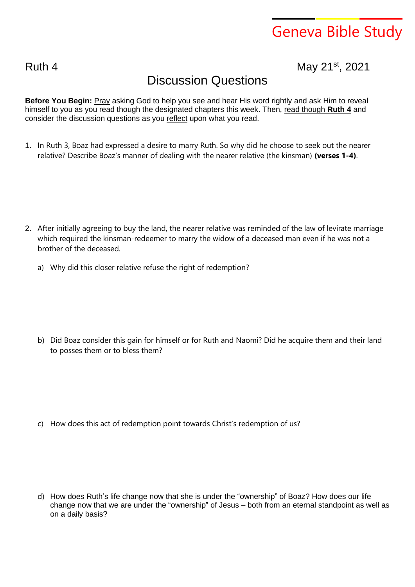## Geneva Bible Study

Ruth 4 **May 21<sup>st</sup>**, 2021

## Discussion Questions

**Before You Begin:** Pray asking God to help you see and hear His word rightly and ask Him to reveal himself to you as you read though the designated chapters this week. Then, read though **Ruth 4** and consider the discussion questions as you reflect upon what you read.

1. In Ruth 3, Boaz had expressed a desire to marry Ruth. So why did he choose to seek out the nearer relative? Describe Boaz's manner of dealing with the nearer relative (the kinsman) **(verses 1-4)**.

- 2. After initially agreeing to buy the land, the nearer relative was reminded of the law of levirate marriage which required the kinsman-redeemer to marry the widow of a deceased man even if he was not a brother of the deceased.
	- a) Why did this closer relative refuse the right of redemption?

b) Did Boaz consider this gain for himself or for Ruth and Naomi? Did he acquire them and their land to posses them or to bless them?

c) How does this act of redemption point towards Christ's redemption of us?

d) How does Ruth's life change now that she is under the "ownership" of Boaz? How does our life change now that we are under the "ownership" of Jesus – both from an eternal standpoint as well as on a daily basis?